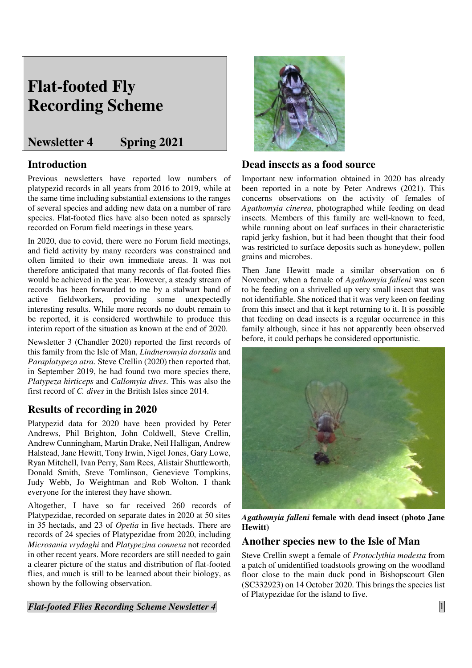# **Flat-footed Fly Recording Scheme**

## **Newsletter 4 Spring 2021**

### **Introduction**

Previous newsletters have reported low numbers of platypezid records in all years from 2016 to 2019, while at the same time including substantial extensions to the ranges of several species and adding new data on a number of rare species. Flat-footed flies have also been noted as sparsely recorded on Forum field meetings in these years.

In 2020, due to covid, there were no Forum field meetings, and field activity by many recorders was constrained and often limited to their own immediate areas. It was not therefore anticipated that many records of flat-footed flies would be achieved in the year. However, a steady stream of records has been forwarded to me by a stalwart band of active fieldworkers, providing some unexpectedly interesting results. While more records no doubt remain to be reported, it is considered worthwhile to produce this interim report of the situation as known at the end of 2020.

Newsletter 3 (Chandler 2020) reported the first records of this family from the Isle of Man, *Lindneromyia dorsalis* and *Paraplatypeza atra*. Steve Crellin (2020) then reported that, in September 2019, he had found two more species there, *Platypeza hirticeps* and *Callomyia dives*. This was also the first record of *C. dives* in the British Isles since 2014.

## **Results of recording in 2020**

Platypezid data for 2020 have been provided by Peter Andrews, Phil Brighton, John Coldwell, Steve Crellin, Andrew Cunningham, Martin Drake, Neil Halligan, Andrew Halstead, Jane Hewitt, Tony Irwin, Nigel Jones, Gary Lowe, Ryan Mitchell, Ivan Perry, Sam Rees, Alistair Shuttleworth, Donald Smith, Steve Tomlinson, Genevieve Tompkins, Judy Webb, Jo Weightman and Rob Wolton. I thank everyone for the interest they have shown.

Altogether, I have so far received 260 records of Platypezidae, recorded on separate dates in 2020 at 50 sites in 35 hectads, and 23 of *Opetia* in five hectads. There are records of 24 species of Platypezidae from 2020, including *Microsania vrydaghi* and *Platypezina connexa* not recorded in other recent years. More recorders are still needed to gain a clearer picture of the status and distribution of flat-footed flies, and much is still to be learned about their biology, as shown by the following observation.

*Flat-footed Flies Recording Scheme Newsletter 4* 1



#### **Dead insects as a food source**

Important new information obtained in 2020 has already been reported in a note by Peter Andrews (2021). This concerns observations on the activity of females of *Agathomyia cinerea*, photographed while feeding on dead insects. Members of this family are well-known to feed, while running about on leaf surfaces in their characteristic rapid jerky fashion, but it had been thought that their food was restricted to surface deposits such as honeydew, pollen grains and microbes.

Then Jane Hewitt made a similar observation on 6 November, when a female of *Agathomyia falleni* was seen to be feeding on a shrivelled up very small insect that was not identifiable. She noticed that it was very keen on feeding from this insect and that it kept returning to it. It is possible that feeding on dead insects is a regular occurrence in this family although, since it has not apparently been observed before, it could perhaps be considered opportunistic.



*Agathomyia falleni* **female with dead insect (photo Jane Hewitt)** 

#### **Another species new to the Isle of Man**

Steve Crellin swept a female of *Protoclythia modesta* from a patch of unidentified toadstools growing on the woodland floor close to the main duck pond in Bishopscourt Glen (SC332923) on 14 October 2020. This brings the species list of Platypezidae for the island to five.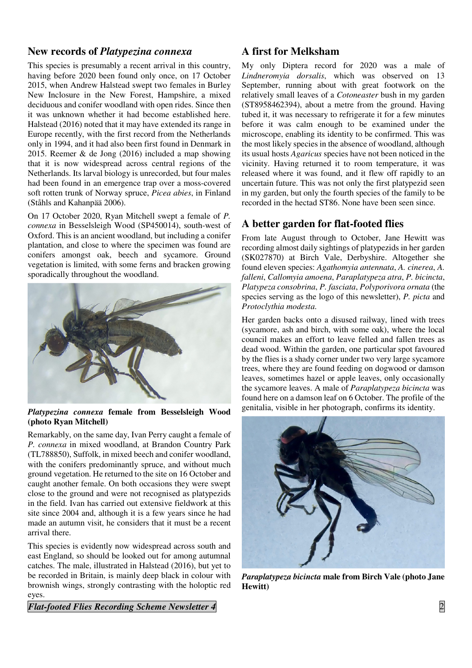#### **New records of** *Platypezina connexa*

This species is presumably a recent arrival in this country, having before 2020 been found only once, on 17 October 2015, when Andrew Halstead swept two females in Burley New Inclosure in the New Forest, Hampshire, a mixed deciduous and conifer woodland with open rides. Since then it was unknown whether it had become established here. Halstead (2016) noted that it may have extended its range in Europe recently, with the first record from the Netherlands only in 1994, and it had also been first found in Denmark in 2015. Reemer & de Jong (2016) included a map showing that it is now widespread across central regions of the Netherlands. Its larval biology is unrecorded, but four males had been found in an emergence trap over a moss-covered soft rotten trunk of Norway spruce, *Picea abies*, in Finland (Ståhls and Kahanpää 2006).

On 17 October 2020, Ryan Mitchell swept a female of *P. connexa* in Besselsleigh Wood (SP450014), south-west of Oxford. This is an ancient woodland, but including a conifer plantation, and close to where the specimen was found are conifers amongst oak, beech and sycamore. Ground vegetation is limited, with some ferns and bracken growing sporadically throughout the woodland.



#### *Platypezina connexa* **female from Besselsleigh Wood (photo Ryan Mitchell)**

Remarkably, on the same day, Ivan Perry caught a female of *P. connexa* in mixed woodland, at Brandon Country Park (TL788850), Suffolk, in mixed beech and conifer woodland, with the conifers predominantly spruce, and without much ground vegetation. He returned to the site on 16 October and caught another female. On both occasions they were swept close to the ground and were not recognised as platypezids in the field. Ivan has carried out extensive fieldwork at this site since 2004 and, although it is a few years since he had made an autumn visit, he considers that it must be a recent arrival there.

This species is evidently now widespread across south and east England, so should be looked out for among autumnal catches. The male, illustrated in Halstead (2016), but yet to be recorded in Britain, is mainly deep black in colour with brownish wings, strongly contrasting with the holoptic red eyes.

*Flat-footed Flies Recording Scheme Newsletter 4* 2

## **A first for Melksham**

My only Diptera record for 2020 was a male of *Lindneromyia dorsalis*, which was observed on 13 September, running about with great footwork on the relatively small leaves of a *Cotoneaster* bush in my garden (ST8958462394), about a metre from the ground. Having tubed it, it was necessary to refrigerate it for a few minutes before it was calm enough to be examined under the microscope, enabling its identity to be confirmed. This was the most likely species in the absence of woodland, although its usual hosts *Agaricus* species have not been noticed in the vicinity. Having returned it to room temperature, it was released where it was found, and it flew off rapidly to an uncertain future. This was not only the first platypezid seen in my garden, but only the fourth species of the family to be recorded in the hectad ST86. None have been seen since.

## **A better garden for flat-footed flies**

From late August through to October, Jane Hewitt was recording almost daily sightings of platypezids in her garden (SK027870) at Birch Vale, Derbyshire. Altogether she found eleven species: *Agathomyia antennata*, *A. cinerea*, *A. falleni*, *Callomyia amoena*, *Paraplatypeza atra*, *P. bicincta*, *Platypeza consobrina*, *P. fasciata*, *Polyporivora ornata* (the species serving as the logo of this newsletter), *P. picta* and *Protoclythia modesta*.

Her garden backs onto a disused railway, lined with trees (sycamore, ash and birch, with some oak), where the local council makes an effort to leave felled and fallen trees as dead wood. Within the garden, one particular spot favoured by the flies is a shady corner under two very large sycamore trees, where they are found feeding on dogwood or damson leaves, sometimes hazel or apple leaves, only occasionally the sycamore leaves. A male of *Paraplatypeza bicincta* was found here on a damson leaf on 6 October. The profile of the genitalia, visible in her photograph, confirms its identity.



*Paraplatypeza bicincta* **male from Birch Vale (photo Jane Hewitt)**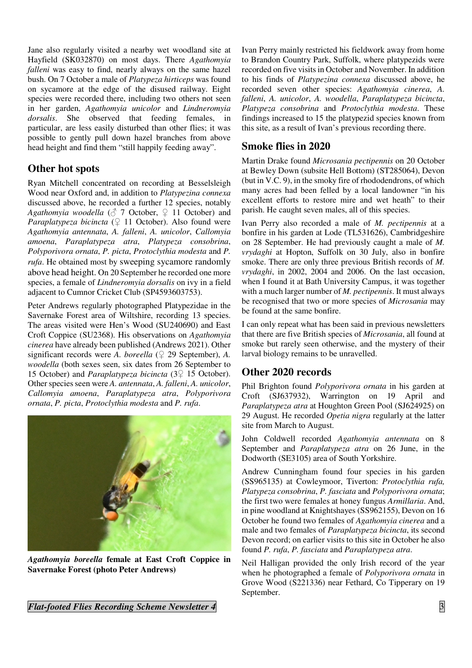Jane also regularly visited a nearby wet woodland site at Hayfield (SK032870) on most days. There *Agathomyia falleni* was easy to find, nearly always on the same hazel bush. On 7 October a male of *Platypeza hirticeps* was found on sycamore at the edge of the disused railway. Eight species were recorded there, including two others not seen in her garden, *Agathomyia unicolor* and *Lindneromyia dorsalis*. She observed that feeding females, in particular, are less easily disturbed than other flies; it was possible to gently pull down hazel branches from above head height and find them "still happily feeding away".

## **Other hot spots**

Ryan Mitchell concentrated on recording at Besselsleigh Wood near Oxford and, in addition to *Platypezina connexa* discussed above, he recorded a further 12 species, notably *Agathomyia woodella* ( $\circled{7}$  7 October,  $\circled{2}$  11 October) and *Paraplatypeza bicincta*  $(\frac{6}{7}$  11 October). Also found were *Agathomyia antennata*, *A. falleni*, *A. unicolor*, *Callomyia amoena*, *Paraplatypeza atra*, *Platypeza consobrina*, *Polyporivora ornata*, *P. picta*, *Protoclythia modesta* and *P. rufa*. He obtained most by sweeping sycamore randomly above head height. On 20 September he recorded one more species, a female of *Lindneromyia dorsalis* on ivy in a field adjacent to Cumnor Cricket Club (SP4593603753).

Peter Andrews regularly photographed Platypezidae in the Savernake Forest area of Wiltshire, recording 13 species. The areas visited were Hen's Wood (SU240690) and East Croft Coppice (SU2368). His observations on *Agathomyia cinerea* have already been published (Andrews 2021). Other significant records were *A. boreella*  $(\bigcirc$  29 September), *A. woodella* (both sexes seen, six dates from 26 September to 15 October) and *Paraplatypeza bicincta* (3♀ 15 October). Other species seen were *A. antennata*, *A. falleni*, *A. unicolor*, *Callomyia amoena*, *Paraplatypeza atra*, *Polyporivora ornata*, *P. picta*, *Protoclythia modesta* and *P. rufa*.



*Agathomyia boreella* **female at East Croft Coppice in Savernake Forest (photo Peter Andrews)** 

*Flat-footed Flies Recording Scheme Newsletter 4* **3** 3

Ivan Perry mainly restricted his fieldwork away from home to Brandon Country Park, Suffolk, where platypezids were recorded on five visits in October and November. In addition to his finds of *Platypezina connexa* discussed above, he recorded seven other species: *Agathomyia cinerea*, *A. falleni*, *A. unicolor*, *A. woodella*, *Paraplatypeza bicincta*, *Platypeza consobrina* and *Protoclythia modesta*. These findings increased to 15 the platypezid species known from this site, as a result of Ivan's previous recording there.

## **Smoke flies in 2020**

Martin Drake found *Microsania pectipennis* on 20 October at Bewley Down (subsite Hell Bottom) (ST285064), Devon (but in V.C. 9), in the smoky fire of rhododendrons, of which many acres had been felled by a local landowner "in his excellent efforts to restore mire and wet heath" to their parish. He caught seven males, all of this species.

Ivan Perry also recorded a male of *M. pectipennis* at a bonfire in his garden at Lode (TL531626), Cambridgeshire on 28 September. He had previously caught a male of *M. vrydaghi* at Hopton, Suffolk on 30 July, also in bonfire smoke. There are only three previous British records of *M. vrydaghi*, in 2002, 2004 and 2006. On the last occasion, when I found it at Bath University Campus, it was together with a much larger number of *M. pectipennis*. It must always be recognised that two or more species of *Microsania* may be found at the same bonfire.

I can only repeat what has been said in previous newsletters that there are five British species of *Microsania*, all found at smoke but rarely seen otherwise, and the mystery of their larval biology remains to be unravelled.

## **Other 2020 records**

Phil Brighton found *Polyporivora ornata* in his garden at Croft (SJ637932), Warrington on 19 April and *Paraplatypeza atra* at Houghton Green Pool (SJ624925) on 29 August. He recorded *Opetia nigra* regularly at the latter site from March to August.

John Coldwell recorded *Agathomyia antennata* on 8 September and *Paraplatypeza atra* on 26 June, in the Dodworth (SE3105) area of South Yorkshire.

Andrew Cunningham found four species in his garden (SS965135) at Cowleymoor, Tiverton: *Protoclythia rufa, Platypeza consobrina*, *P. fasciata* and *Polyporivora ornata*; the first two were females at honey fungus *Armillaria*. And, in pine woodland at Knightshayes (SS962155), Devon on 16 October he found two females of *Agathomyia cinerea* and a male and two females of *Paraplatypeza bicincta*, its second Devon record; on earlier visits to this site in October he also found *P. rufa*, *P. fasciata* and *Paraplatypeza atra*.

Neil Halligan provided the only Irish record of the year when he photographed a female of *Polyporivora ornata* in Grove Wood (S221336) near Fethard, Co Tipperary on 19 September.